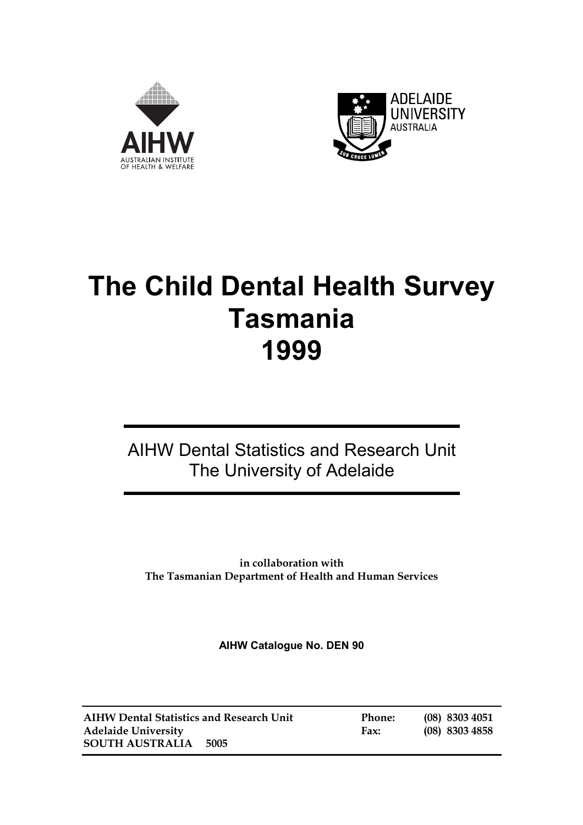



# **The Child Dental Health Survey Tasmania 1999**

## AIHW Dental Statistics and Research Unit The University of Adelaide

**in collaboration with The Tasmanian Department of Health and Human Services** 

**AIHW Catalogue No. DEN 90** 

**AIHW Dental Statistics and Research Unit Phone: (08) 8303 4051 Adelaide University Fax: (08) 8303 4858 SOUTH AUSTRALIA 5005**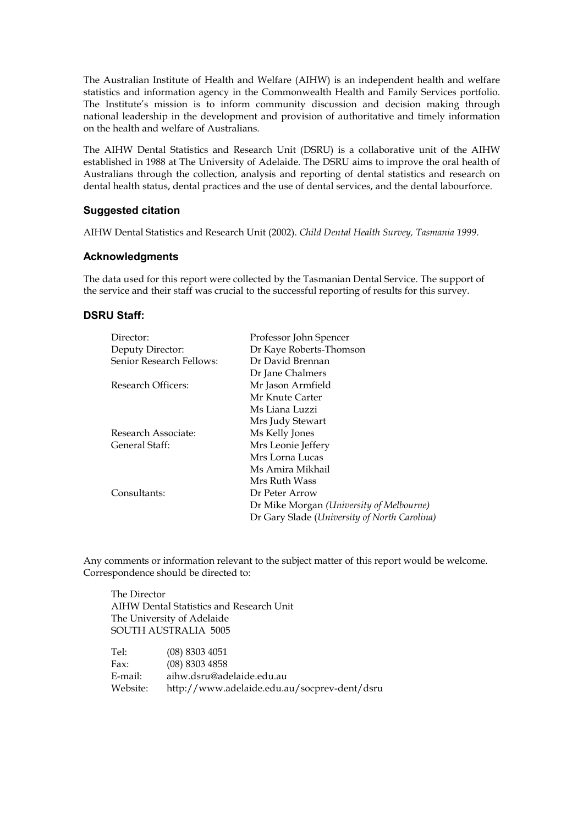The Australian Institute of Health and Welfare (AIHW) is an independent health and welfare statistics and information agency in the Commonwealth Health and Family Services portfolio. The Institute's mission is to inform community discussion and decision making through national leadership in the development and provision of authoritative and timely information on the health and welfare of Australians.

The AIHW Dental Statistics and Research Unit (DSRU) is a collaborative unit of the AIHW established in 1988 at The University of Adelaide. The DSRU aims to improve the oral health of Australians through the collection, analysis and reporting of dental statistics and research on dental health status, dental practices and the use of dental services, and the dental labourforce.

#### **Suggested citation**

AIHW Dental Statistics and Research Unit (2002). *Child Dental Health Survey, Tasmania 1999*.

#### **Acknowledgments**

The data used for this report were collected by the Tasmanian Dental Service. The support of the service and their staff was crucial to the successful reporting of results for this survey.

#### **DSRU Staff:**

| Director:                | Professor John Spencer                       |
|--------------------------|----------------------------------------------|
| Deputy Director:         | Dr Kaye Roberts-Thomson                      |
| Senior Research Fellows: | Dr David Brennan                             |
|                          | Dr Jane Chalmers                             |
| Research Officers:       | Mr Jason Armfield                            |
|                          | Mr Knute Carter                              |
|                          | Ms Liana Luzzi                               |
|                          | Mrs Judy Stewart                             |
| Research Associate:      | Ms Kelly Jones                               |
| General Staff:           | Mrs Leonie Jeffery                           |
|                          | Mrs Lorna Lucas                              |
|                          | Ms Amira Mikhail                             |
|                          | Mrs Ruth Wass                                |
| Consultants:             | Dr Peter Arrow                               |
|                          | Dr Mike Morgan (University of Melbourne)     |
|                          | Dr Gary Slade (University of North Carolina) |

Any comments or information relevant to the subject matter of this report would be welcome. Correspondence should be directed to:

 The Director AIHW Dental Statistics and Research Unit The University of Adelaide SOUTH AUSTRALIA 5005

| Tel:     | $(08)$ 8303 4051                             |
|----------|----------------------------------------------|
| Fax:     | $(08)$ 8303 4858                             |
| E-mail:  | aihw.dsru@adelaide.edu.au                    |
| Website: | http://www.adelaide.edu.au/socprev-dent/dsru |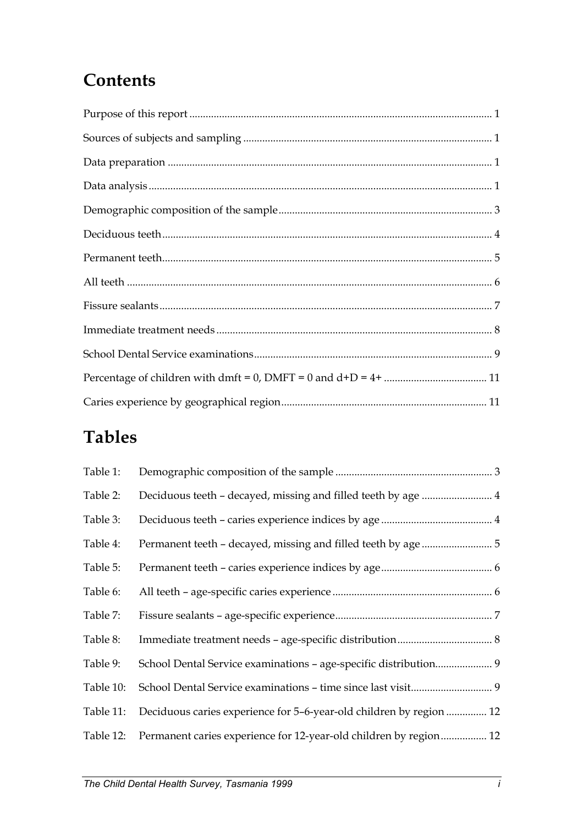## **Contents**

## **Tables**

| Table 1:  |                                                                               |
|-----------|-------------------------------------------------------------------------------|
| Table 2:  |                                                                               |
| Table 3:  |                                                                               |
| Table 4:  |                                                                               |
| Table 5:  |                                                                               |
| Table 6:  |                                                                               |
| Table 7:  |                                                                               |
| Table 8:  |                                                                               |
| Table 9:  | School Dental Service examinations - age-specific distribution 9              |
| Table 10: |                                                                               |
|           | Table 11: Deciduous caries experience for 5-6-year-old children by region  12 |
| Table 12: | Permanent caries experience for 12-year-old children by region 12             |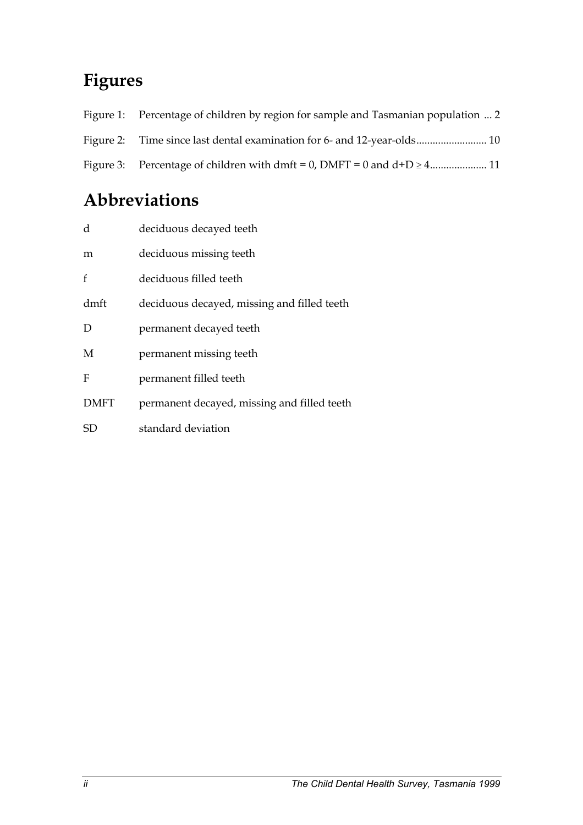## **Figures**

| Figure 1: Percentage of children by region for sample and Tasmanian population  2 |
|-----------------------------------------------------------------------------------|
|                                                                                   |
|                                                                                   |

## **Abbreviations**

| d           | deciduous decayed teeth                     |
|-------------|---------------------------------------------|
| m           | deciduous missing teeth                     |
| f           | deciduous filled teeth                      |
| dmft        | deciduous decayed, missing and filled teeth |
| D           | permanent decayed teeth                     |
| M           | permanent missing teeth                     |
| F           | permanent filled teeth                      |
| <b>DMFT</b> | permanent decayed, missing and filled teeth |
| SD          | standard deviation                          |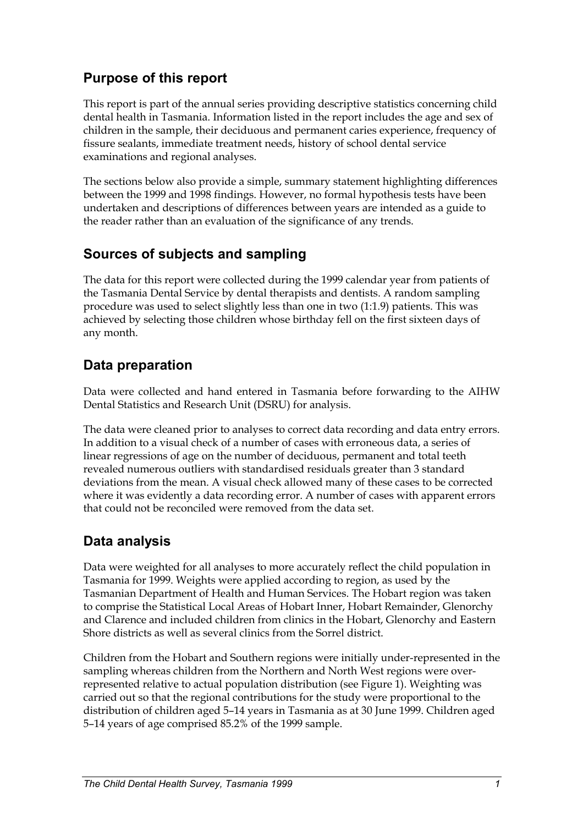## <span id="page-4-0"></span>**Purpose of this report**

This report is part of the annual series providing descriptive statistics concerning child dental health in Tasmania. Information listed in the report includes the age and sex of children in the sample, their deciduous and permanent caries experience, frequency of fissure sealants, immediate treatment needs, history of school dental service examinations and regional analyses.

The sections below also provide a simple, summary statement highlighting differences between the 1999 and 1998 findings. However, no formal hypothesis tests have been undertaken and descriptions of differences between years are intended as a guide to the reader rather than an evaluation of the significance of any trends.

## **Sources of subjects and sampling**

The data for this report were collected during the 1999 calendar year from patients of the Tasmania Dental Service by dental therapists and dentists. A random sampling procedure was used to select slightly less than one in two (1:1.9) patients. This was achieved by selecting those children whose birthday fell on the first sixteen days of any month.

## **Data preparation**

Data were collected and hand entered in Tasmania before forwarding to the AIHW Dental Statistics and Research Unit (DSRU) for analysis.

The data were cleaned prior to analyses to correct data recording and data entry errors. In addition to a visual check of a number of cases with erroneous data, a series of linear regressions of age on the number of deciduous, permanent and total teeth revealed numerous outliers with standardised residuals greater than 3 standard deviations from the mean. A visual check allowed many of these cases to be corrected where it was evidently a data recording error. A number of cases with apparent errors that could not be reconciled were removed from the data set.

## **Data analysis**

Data were weighted for all analyses to more accurately reflect the child population in Tasmania for 1999. Weights were applied according to region, as used by the Tasmanian Department of Health and Human Services. The Hobart region was taken to comprise the Statistical Local Areas of Hobart Inner, Hobart Remainder, Glenorchy and Clarence and included children from clinics in the Hobart, Glenorchy and Eastern Shore districts as well as several clinics from the Sorrel district.

Children from the Hobart and Southern regions were initially under-represented in the sampling whereas children from the Northern and North West regions were overrepresented relative to actual population distribution (see Figure 1). Weighting was carried out so that the regional contributions for the study were proportional to the distribution of children aged 5–14 years in Tasmania as at 30 June 1999. Children aged 5–14 years of age comprised 85.2% of the 1999 sample.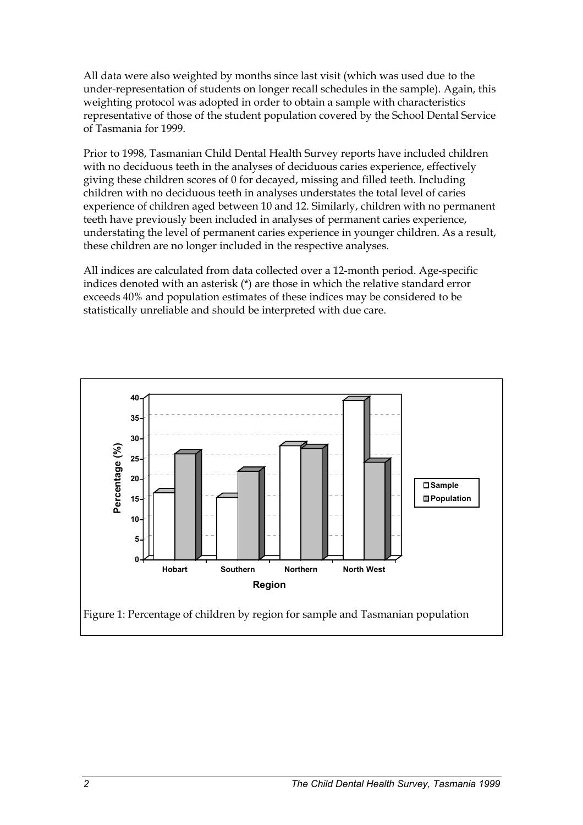All data were also weighted by months since last visit (which was used due to the under-representation of students on longer recall schedules in the sample). Again, this weighting protocol was adopted in order to obtain a sample with characteristics representative of those of the student population covered by the School Dental Service of Tasmania for 1999.

Prior to 1998, Tasmanian Child Dental Health Survey reports have included children with no deciduous teeth in the analyses of deciduous caries experience, effectively giving these children scores of 0 for decayed, missing and filled teeth. Including children with no deciduous teeth in analyses understates the total level of caries experience of children aged between 10 and 12. Similarly, children with no permanent teeth have previously been included in analyses of permanent caries experience, understating the level of permanent caries experience in younger children. As a result, these children are no longer included in the respective analyses.

All indices are calculated from data collected over a 12-month period. Age-specific indices denoted with an asterisk (\*) are those in which the relative standard error exceeds 40% and population estimates of these indices may be considered to be statistically unreliable and should be interpreted with due care.

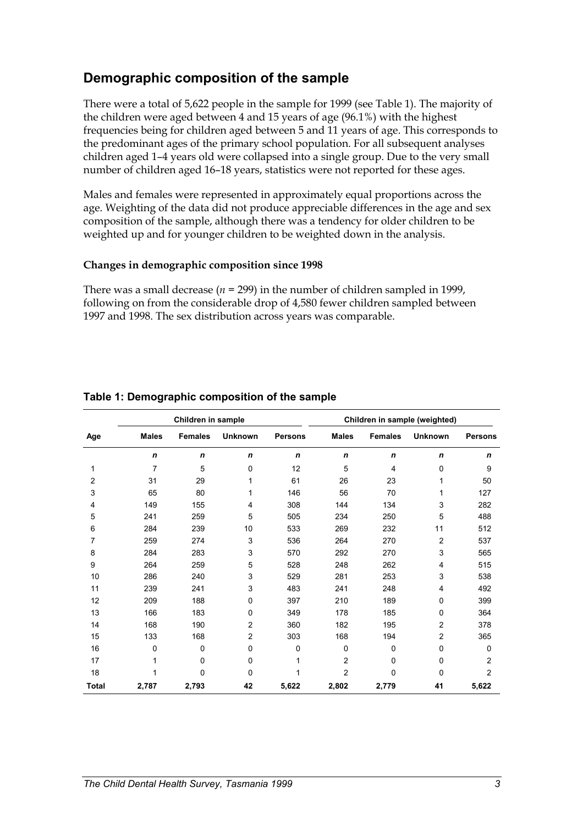## <span id="page-6-0"></span>**Demographic composition of the sample**

There were a total of 5,622 people in the sample for 1999 (see Table 1). The majority of the children were aged between 4 and 15 years of age (96.1%) with the highest frequencies being for children aged between 5 and 11 years of age. This corresponds to the predominant ages of the primary school population. For all subsequent analyses children aged 1–4 years old were collapsed into a single group. Due to the very small number of children aged 16–18 years, statistics were not reported for these ages.

Males and females were represented in approximately equal proportions across the age. Weighting of the data did not produce appreciable differences in the age and sex composition of the sample, although there was a tendency for older children to be weighted up and for younger children to be weighted down in the analysis.

#### **Changes in demographic composition since 1998**

There was a small decrease ( $n = 299$ ) in the number of children sampled in 1999, following on from the considerable drop of 4,580 fewer children sampled between 1997 and 1998. The sex distribution across years was comparable.

|                |              | Children in sample |                |                | Children in sample (weighted) |                |                |                |  |
|----------------|--------------|--------------------|----------------|----------------|-------------------------------|----------------|----------------|----------------|--|
| Age            | <b>Males</b> | <b>Females</b>     | <b>Unknown</b> | <b>Persons</b> | <b>Males</b>                  | <b>Females</b> | <b>Unknown</b> | <b>Persons</b> |  |
|                | $\mathsf{n}$ | $\mathbf n$        | n              | $\mathbf n$    | $\mathbf n$                   | n              | $\mathbf n$    | n              |  |
| 1              | 7            | 5                  | 0              | 12             | 5                             | $\overline{4}$ | 0              | 9              |  |
| $\overline{2}$ | 31           | 29                 | 1              | 61             | 26                            | 23             | 1              | 50             |  |
| 3              | 65           | 80                 | 1              | 146            | 56                            | 70             | 1              | 127            |  |
| 4              | 149          | 155                | 4              | 308            | 144                           | 134            | 3              | 282            |  |
| 5              | 241          | 259                | 5              | 505            | 234                           | 250            | 5              | 488            |  |
| 6              | 284          | 239                | 10             | 533            | 269                           | 232            | 11             | 512            |  |
| 7              | 259          | 274                | 3              | 536            | 264                           | 270            | 2              | 537            |  |
| 8              | 284          | 283                | 3              | 570            | 292                           | 270            | 3              | 565            |  |
| 9              | 264          | 259                | 5              | 528            | 248                           | 262            | 4              | 515            |  |
| 10             | 286          | 240                | 3              | 529            | 281                           | 253            | 3              | 538            |  |
| 11             | 239          | 241                | 3              | 483            | 241                           | 248            | 4              | 492            |  |
| 12             | 209          | 188                | 0              | 397            | 210                           | 189            | 0              | 399            |  |
| 13             | 166          | 183                | $\pmb{0}$      | 349            | 178                           | 185            | 0              | 364            |  |
| 14             | 168          | 190                | $\overline{c}$ | 360            | 182                           | 195            | 2              | 378            |  |
| 15             | 133          | 168                | $\overline{c}$ | 303            | 168                           | 194            | $\overline{2}$ | 365            |  |
| 16             | 0            | $\Omega$           | $\mathbf 0$    | 0              | $\Omega$                      | 0              | $\Omega$       | 0              |  |
| 17             | 1            | $\Omega$           | $\mathbf 0$    | 1              | $\overline{2}$                | 0              | 0              | $\overline{2}$ |  |
| 18             | 1            | 0                  | 0              | 1              | $\overline{2}$                | 0              | 0              | $\overline{c}$ |  |
| Total          | 2,787        | 2,793              | 42             | 5,622          | 2,802                         | 2,779          | 41             | 5,622          |  |

### **Table 1: Demographic composition of the sample**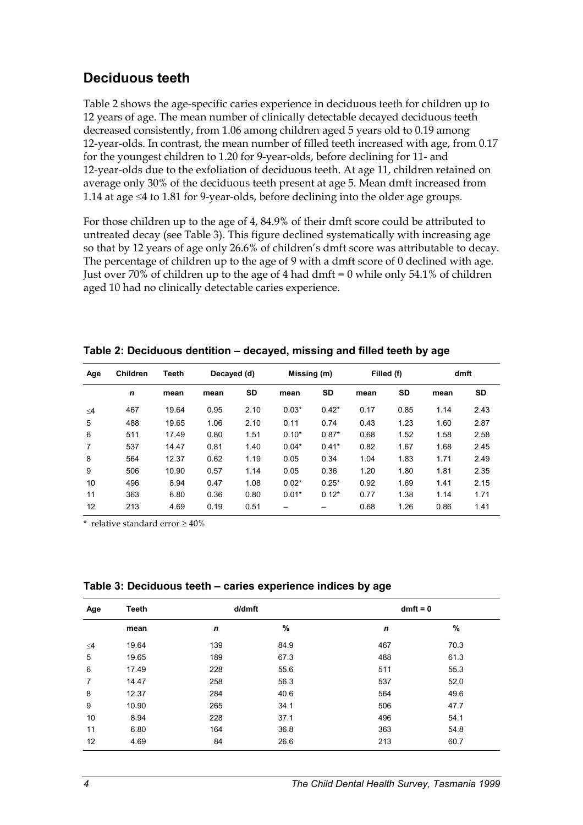## **Deciduous teeth**

Table 2 shows the age-specific caries experience in deciduous teeth for children up to 12 years of age. The mean number of clinically detectable decayed deciduous teeth decreased consistently, from 1.06 among children aged 5 years old to 0.19 among 12-year-olds. In contrast, the mean number of filled teeth increased with age, from 0.17 for the youngest children to 1.20 for 9-year-olds, before declining for 11- and 12-year-olds due to the exfoliation of deciduous teeth. At age 11, children retained on average only 30% of the deciduous teeth present at age 5. Mean dmft increased from 1.14 at age  $\leq$ 4 to 1.81 for 9-year-olds, before declining into the older age groups.

For those children up to the age of 4, 84.9% of their dmft score could be attributed to untreated decay (see Table 3). This figure declined systematically with increasing age so that by 12 years of age only 26.6% of children's dmft score was attributable to decay. The percentage of children up to the age of 9 with a dmft score of 0 declined with age. Just over 70% of children up to the age of 4 had dmft = 0 while only 54.1% of children aged 10 had no clinically detectable caries experience.

| Age      | <b>Children</b><br>Teeth |       | Decayed (d) |      | Missing (m) |           | Filled (f) |      | dmft |      |
|----------|--------------------------|-------|-------------|------|-------------|-----------|------------|------|------|------|
|          | $\mathbf n$              | mean  | mean        | SD   | mean        | <b>SD</b> | mean       | SD   | mean | SD   |
| $\leq$ 4 | 467                      | 19.64 | 0.95        | 2.10 | $0.03*$     | $0.42*$   | 0.17       | 0.85 | 1.14 | 2.43 |
| 5        | 488                      | 19.65 | 1.06        | 2.10 | 0.11        | 0.74      | 0.43       | 1.23 | 1.60 | 2.87 |
| 6        | 511                      | 17.49 | 0.80        | 1.51 | $0.10*$     | $0.87*$   | 0.68       | 1.52 | 1.58 | 2.58 |
| 7        | 537                      | 14.47 | 0.81        | 1.40 | $0.04*$     | $0.41*$   | 0.82       | 1.67 | 1.68 | 2.45 |
| 8        | 564                      | 12.37 | 0.62        | 1.19 | 0.05        | 0.34      | 1.04       | 1.83 | 1.71 | 2.49 |
| 9        | 506                      | 10.90 | 0.57        | 1.14 | 0.05        | 0.36      | 1.20       | 1.80 | 1.81 | 2.35 |
| 10       | 496                      | 8.94  | 0.47        | 1.08 | $0.02*$     | $0.25*$   | 0.92       | 1.69 | 1.41 | 2.15 |
| 11       | 363                      | 6.80  | 0.36        | 0.80 | $0.01*$     | $0.12*$   | 0.77       | 1.38 | 1.14 | 1.71 |
| 12       | 213                      | 4.69  | 0.19        | 0.51 |             |           | 0.68       | 1.26 | 0.86 | 1.41 |

**Table 2: Deciduous dentition – decayed, missing and filled teeth by age** 

| Age      | <b>Teeth</b> | d/dmft |      | $dmft = 0$  |      |  |
|----------|--------------|--------|------|-------------|------|--|
|          | mean         | n      | %    | $\mathbf n$ | %    |  |
| $\leq 4$ | 19.64        | 139    | 84.9 | 467         | 70.3 |  |
| 5        | 19.65        | 189    | 67.3 | 488         | 61.3 |  |
| 6        | 17.49        | 228    | 55.6 | 511         | 55.3 |  |
| 7        | 14.47        | 258    | 56.3 | 537         | 52.0 |  |
| 8        | 12.37        | 284    | 40.6 | 564         | 49.6 |  |
| 9        | 10.90        | 265    | 34.1 | 506         | 47.7 |  |
| 10       | 8.94         | 228    | 37.1 | 496         | 54.1 |  |
| 11       | 6.80         | 164    | 36.8 | 363         | 54.8 |  |
| 12       | 4.69         | 84     | 26.6 | 213         | 60.7 |  |

**Table 3: Deciduous teeth – caries experience indices by age**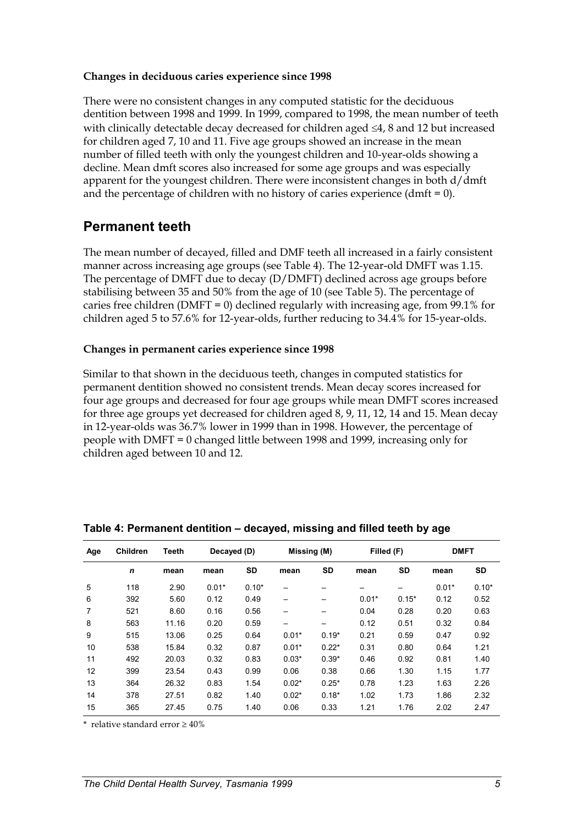#### **Changes in deciduous caries experience since 1998**

There were no consistent changes in any computed statistic for the deciduous dentition between 1998 and 1999. In 1999, compared to 1998, the mean number of teeth with clinically detectable decay decreased for children aged  $\leq 4$ , 8 and 12 but increased for children aged 7, 10 and 11. Five age groups showed an increase in the mean number of filled teeth with only the youngest children and 10-year-olds showing a decline. Mean dmft scores also increased for some age groups and was especially apparent for the youngest children. There were inconsistent changes in both d/dmft and the percentage of children with no history of caries experience (dmft  $= 0$ ).

### **Permanent teeth**

The mean number of decayed, filled and DMF teeth all increased in a fairly consistent manner across increasing age groups (see Table 4). The 12-year-old DMFT was 1.15. The percentage of DMFT due to decay (D/DMFT) declined across age groups before stabilising between 35 and 50% from the age of 10 (see Table 5). The percentage of caries free children (DMFT = 0) declined regularly with increasing age, from  $99.1\%$  for children aged 5 to 57.6% for 12-year-olds, further reducing to 34.4% for 15-year-olds.

#### **Changes in permanent caries experience since 1998**

Similar to that shown in the deciduous teeth, changes in computed statistics for permanent dentition showed no consistent trends. Mean decay scores increased for four age groups and decreased for four age groups while mean DMFT scores increased for three age groups yet decreased for children aged 8, 9, 11, 12, 14 and 15. Mean decay in 12-year-olds was 36.7% lower in 1999 than in 1998. However, the percentage of people with DMFT = 0 changed little between 1998 and 1999, increasing only for children aged between 10 and 12.

| Age            | <b>Children</b> | Teeth<br>Decayed (D) |         | Missing (M) |         | Filled (F) |         | <b>DMFT</b> |         |         |
|----------------|-----------------|----------------------|---------|-------------|---------|------------|---------|-------------|---------|---------|
|                | n               | mean                 | mean    | SD          | mean    | SD         | mean    | <b>SD</b>   | mean    | SD      |
| 5              | 118             | 2.90                 | $0.01*$ | $0.10*$     |         |            |         |             | $0.01*$ | $0.10*$ |
| 6              | 392             | 5.60                 | 0.12    | 0.49        |         |            | $0.01*$ | $0.15*$     | 0.12    | 0.52    |
| $\overline{7}$ | 521             | 8.60                 | 0.16    | 0.56        |         |            | 0.04    | 0.28        | 0.20    | 0.63    |
| 8              | 563             | 11.16                | 0.20    | 0.59        | —       | —          | 0.12    | 0.51        | 0.32    | 0.84    |
| 9              | 515             | 13.06                | 0.25    | 0.64        | $0.01*$ | $0.19*$    | 0.21    | 0.59        | 0.47    | 0.92    |
| 10             | 538             | 15.84                | 0.32    | 0.87        | $0.01*$ | $0.22*$    | 0.31    | 0.80        | 0.64    | 1.21    |
| 11             | 492             | 20.03                | 0.32    | 0.83        | $0.03*$ | $0.39*$    | 0.46    | 0.92        | 0.81    | 1.40    |
| 12             | 399             | 23.54                | 0.43    | 0.99        | 0.06    | 0.38       | 0.66    | 1.30        | 1.15    | 1.77    |
| 13             | 364             | 26.32                | 0.83    | 1.54        | $0.02*$ | $0.25*$    | 0.78    | 1.23        | 1.63    | 2.26    |
| 14             | 378             | 27.51                | 0.82    | 1.40        | $0.02*$ | $0.18*$    | 1.02    | 1.73        | 1.86    | 2.32    |
| 15             | 365             | 27.45                | 0.75    | 1.40        | 0.06    | 0.33       | 1.21    | 1.76        | 2.02    | 2.47    |

#### **Table 4: Permanent dentition – decayed, missing and filled teeth by age**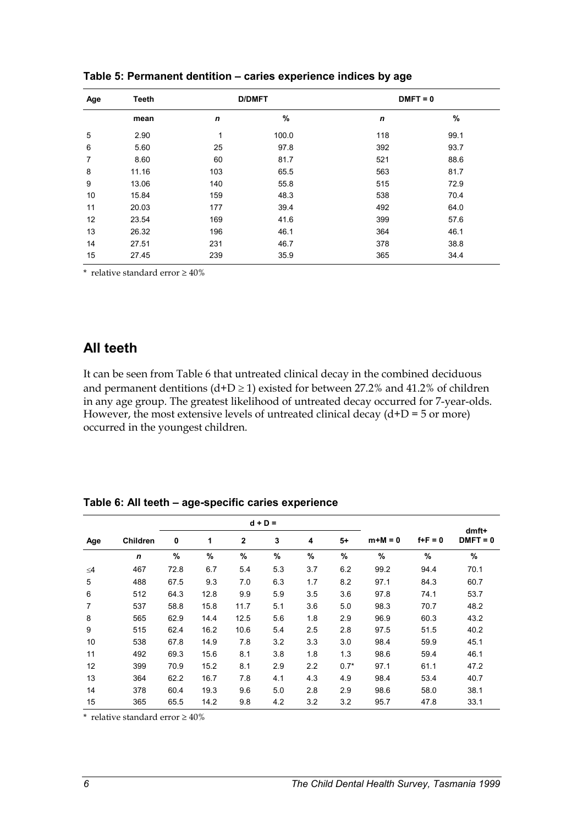| Age | <b>Teeth</b> |     | <b>D/DMFT</b> | $DMFT = 0$ |      |  |
|-----|--------------|-----|---------------|------------|------|--|
|     | mean         | n   | %             | n          | %    |  |
| 5   | 2.90         | 1   | 100.0         | 118        | 99.1 |  |
| 6   | 5.60         | 25  | 97.8          | 392        | 93.7 |  |
| 7   | 8.60         | 60  | 81.7          | 521        | 88.6 |  |
| 8   | 11.16        | 103 | 65.5          | 563        | 81.7 |  |
| 9   | 13.06        | 140 | 55.8          | 515        | 72.9 |  |
| 10  | 15.84        | 159 | 48.3          | 538        | 70.4 |  |
| 11  | 20.03        | 177 | 39.4          | 492        | 64.0 |  |
| 12  | 23.54        | 169 | 41.6          | 399        | 57.6 |  |
| 13  | 26.32        | 196 | 46.1          | 364        | 46.1 |  |
| 14  | 27.51        | 231 | 46.7          | 378        | 38.8 |  |
| 15  | 27.45        | 239 | 35.9          | 365        | 34.4 |  |

**Table 5: Permanent dentition – caries experience indices by age** 

\* relative standard error  $\geq 40\%$ 

### **All teeth**

It can be seen from Table 6 that untreated clinical decay in the combined deciduous and permanent dentitions  $(d+D \ge 1)$  existed for between 27.2% and 41.2% of children in any age group. The greatest likelihood of untreated decay occurred for 7-year-olds. However, the most extensive levels of untreated clinical decay  $(d+D = 5 \text{ or more})$ occurred in the youngest children.

**Table 6: All teeth – age-specific caries experience** 

|          |                 | $d + D =$ |      |              |     |      |        |           |             | dmft+      |
|----------|-----------------|-----------|------|--------------|-----|------|--------|-----------|-------------|------------|
| Age      | <b>Children</b> | 0         | 1    | $\mathbf{2}$ | 3   | 4    | $5+$   | $m+M = 0$ | $f + F = 0$ | $DMFT = 0$ |
|          | $\mathbf n$     | $\%$      | $\%$ | $\%$         | %   | $\%$ | %      | $\%$      | $\%$        | $\%$       |
| $\leq 4$ | 467             | 72.8      | 6.7  | 5.4          | 5.3 | 3.7  | 6.2    | 99.2      | 94.4        | 70.1       |
| 5        | 488             | 67.5      | 9.3  | 7.0          | 6.3 | 1.7  | 8.2    | 97.1      | 84.3        | 60.7       |
| 6        | 512             | 64.3      | 12.8 | 9.9          | 5.9 | 3.5  | 3.6    | 97.8      | 74.1        | 53.7       |
| 7        | 537             | 58.8      | 15.8 | 11.7         | 5.1 | 3.6  | 5.0    | 98.3      | 70.7        | 48.2       |
| 8        | 565             | 62.9      | 14.4 | 12.5         | 5.6 | 1.8  | 2.9    | 96.9      | 60.3        | 43.2       |
| 9        | 515             | 62.4      | 16.2 | 10.6         | 5.4 | 2.5  | 2.8    | 97.5      | 51.5        | 40.2       |
| 10       | 538             | 67.8      | 14.9 | 7.8          | 3.2 | 3.3  | 3.0    | 98.4      | 59.9        | 45.1       |
| 11       | 492             | 69.3      | 15.6 | 8.1          | 3.8 | 1.8  | 1.3    | 98.6      | 59.4        | 46.1       |
| 12       | 399             | 70.9      | 15.2 | 8.1          | 2.9 | 2.2  | $0.7*$ | 97.1      | 61.1        | 47.2       |
| 13       | 364             | 62.2      | 16.7 | 7.8          | 4.1 | 4.3  | 4.9    | 98.4      | 53.4        | 40.7       |
| 14       | 378             | 60.4      | 19.3 | 9.6          | 5.0 | 2.8  | 2.9    | 98.6      | 58.0        | 38.1       |
| 15       | 365             | 65.5      | 14.2 | 9.8          | 4.2 | 3.2  | 3.2    | 95.7      | 47.8        | 33.1       |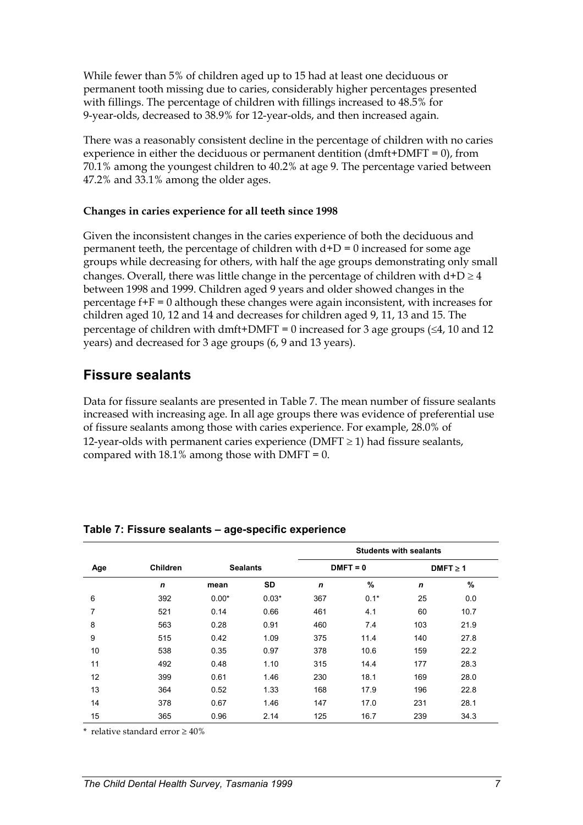While fewer than 5% of children aged up to 15 had at least one deciduous or permanent tooth missing due to caries, considerably higher percentages presented with fillings. The percentage of children with fillings increased to 48.5% for 9-year-olds, decreased to 38.9% for 12-year-olds, and then increased again.

There was a reasonably consistent decline in the percentage of children with no caries experience in either the deciduous or permanent dentition (dmft+DMFT =  $0$ ), from 70.1% among the youngest children to 40.2% at age 9. The percentage varied between 47.2% and 33.1% among the older ages.

#### **Changes in caries experience for all teeth since 1998**

Given the inconsistent changes in the caries experience of both the deciduous and permanent teeth, the percentage of children with  $d+D = 0$  increased for some age groups while decreasing for others, with half the age groups demonstrating only small changes. Overall, there was little change in the percentage of children with  $d+D \ge 4$ between 1998 and 1999. Children aged 9 years and older showed changes in the percentage f+F = 0 although these changes were again inconsistent, with increases for children aged 10, 12 and 14 and decreases for children aged 9, 11, 13 and 15. The percentage of children with dmft+DMFT = 0 increased for 3 age groups  $(\leq 4, 10 \text{ and } 12)$ years) and decreased for 3 age groups (6, 9 and 13 years).

## **Fissure sealants**

Data for fissure sealants are presented in Table 7. The mean number of fissure sealants increased with increasing age. In all age groups there was evidence of preferential use of fissure sealants among those with caries experience. For example, 28.0% of 12-year-olds with permanent caries experience ( $DMFT \ge 1$ ) had fissure sealants, compared with  $18.1\%$  among those with DMFT = 0.

|     |                 |         |                 |             | <b>Students with sealants</b> |             |               |  |
|-----|-----------------|---------|-----------------|-------------|-------------------------------|-------------|---------------|--|
| Age | <b>Children</b> |         | <b>Sealants</b> |             | $DMFT = 0$                    |             | $DMFT \geq 1$ |  |
|     | $\mathbf n$     | mean    | <b>SD</b>       | $\mathbf n$ | %                             | $\mathbf n$ | %             |  |
| 6   | 392             | $0.00*$ | $0.03*$         | 367         | $0.1*$                        | 25          | 0.0           |  |
| 7   | 521             | 0.14    | 0.66            | 461         | 4.1                           | 60          | 10.7          |  |
| 8   | 563             | 0.28    | 0.91            | 460         | 7.4                           | 103         | 21.9          |  |
| 9   | 515             | 0.42    | 1.09            | 375         | 11.4                          | 140         | 27.8          |  |
| 10  | 538             | 0.35    | 0.97            | 378         | 10.6                          | 159         | 22.2          |  |
| 11  | 492             | 0.48    | 1.10            | 315         | 14.4                          | 177         | 28.3          |  |
| 12  | 399             | 0.61    | 1.46            | 230         | 18.1                          | 169         | 28.0          |  |
| 13  | 364             | 0.52    | 1.33            | 168         | 17.9                          | 196         | 22.8          |  |
| 14  | 378             | 0.67    | 1.46            | 147         | 17.0                          | 231         | 28.1          |  |
| 15  | 365             | 0.96    | 2.14            | 125         | 16.7                          | 239         | 34.3          |  |

#### **Table 7: Fissure sealants – age-specific experience**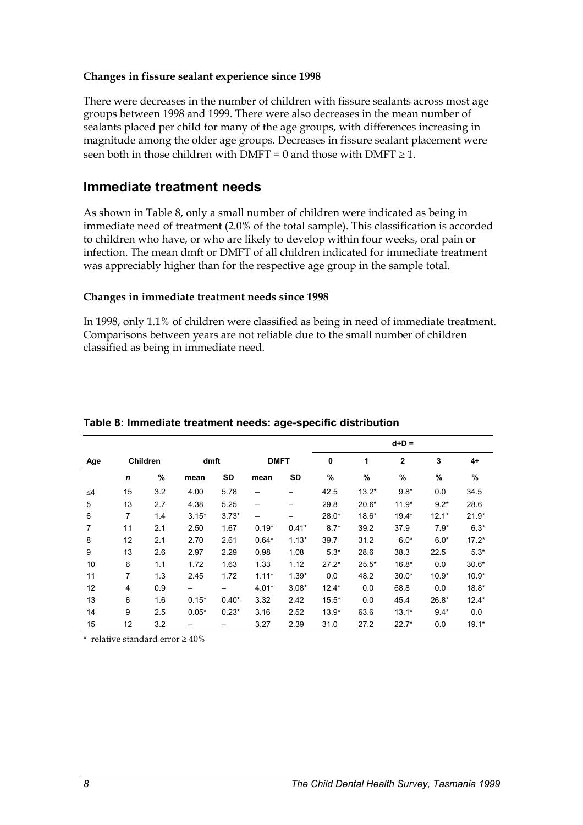#### **Changes in fissure sealant experience since 1998**

There were decreases in the number of children with fissure sealants across most age groups between 1998 and 1999. There were also decreases in the mean number of sealants placed per child for many of the age groups, with differences increasing in magnitude among the older age groups. Decreases in fissure sealant placement were seen both in those children with  $DMFT = 0$  and those with  $DMFT \ge 1$ .

### **Immediate treatment needs**

As shown in Table 8, only a small number of children were indicated as being in immediate need of treatment (2.0% of the total sample). This classification is accorded to children who have, or who are likely to develop within four weeks, oral pain or infection. The mean dmft or DMFT of all children indicated for immediate treatment was appreciably higher than for the respective age group in the sample total.

#### **Changes in immediate treatment needs since 1998**

In 1998, only 1.1% of children were classified as being in need of immediate treatment. Comparisons between years are not reliable due to the small number of children classified as being in immediate need.

|                |                |          |                 |           |             |           | $d+D =$ |         |                |         |         |  |
|----------------|----------------|----------|-----------------|-----------|-------------|-----------|---------|---------|----------------|---------|---------|--|
| Age            |                | Children | dmft            |           | <b>DMFT</b> |           | 0       | 1       | $\overline{2}$ | 3       | 4+      |  |
|                | $\mathsf{n}$   | $\%$     | mean            | <b>SD</b> | mean        | <b>SD</b> | %       | $\%$    | %              | $\%$    | %       |  |
| $\leq 4$       | 15             | 3.2      | 4.00            | 5.78      |             |           | 42.5    | $13.2*$ | $9.8*$         | 0.0     | 34.5    |  |
| 5              | 13             | 2.7      | 4.38            | 5.25      | —           |           | 29.8    | $20.6*$ | $11.9*$        | $9.2*$  | 28.6    |  |
| 6              | $\overline{7}$ | 1.4      | $3.15*$         | $3.73*$   | —           |           | $28.0*$ | $18.6*$ | 19.4*          | $12.1*$ | $21.9*$ |  |
| $\overline{7}$ | 11             | 2.1      | 2.50            | 1.67      | $0.19*$     | $0.41*$   | $8.7*$  | 39.2    | 37.9           | $7.9*$  | $6.3*$  |  |
| 8              | 12             | 2.1      | 2.70            | 2.61      | $0.64*$     | $1.13*$   | 39.7    | 31.2    | $6.0*$         | $6.0*$  | $17.2*$ |  |
| 9              | 13             | 2.6      | 2.97            | 2.29      | 0.98        | 1.08      | $5.3*$  | 28.6    | 38.3           | 22.5    | $5.3*$  |  |
| 10             | 6              | 1.1      | 1.72            | 1.63      | 1.33        | 1.12      | $27.2*$ | $25.5*$ | $16.8*$        | 0.0     | $30.6*$ |  |
| 11             | 7              | 1.3      | 2.45            | 1.72      | $1.11*$     | $1.39*$   | 0.0     | 48.2    | $30.0*$        | $10.9*$ | $10.9*$ |  |
| 12             | 4              | 0.9      | $\qquad \qquad$ |           | $4.01*$     | $3.08*$   | $12.4*$ | 0.0     | 68.8           | 0.0     | $18.8*$ |  |
| 13             | 6              | 1.6      | $0.15*$         | $0.40*$   | 3.32        | 2.42      | $15.5*$ | 0.0     | 45.4           | $26.8*$ | $12.4*$ |  |
| 14             | 9              | 2.5      | $0.05*$         | $0.23*$   | 3.16        | 2.52      | $13.9*$ | 63.6    | $13.1*$        | $9.4*$  | 0.0     |  |
| 15             | 12             | 3.2      |                 |           | 3.27        | 2.39      | 31.0    | 27.2    | $22.7*$        | 0.0     | $19.1*$ |  |

#### **Table 8: Immediate treatment needs: age-specific distribution**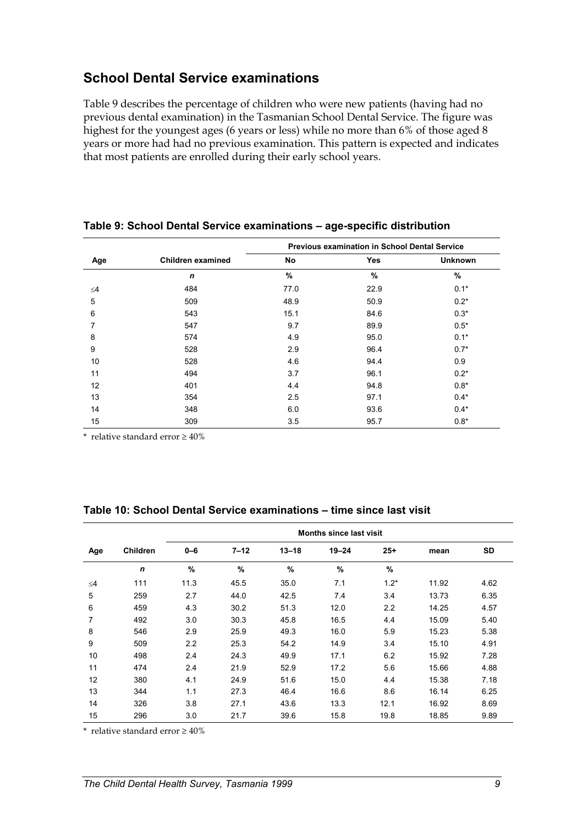## **School Dental Service examinations**

Table 9 describes the percentage of children who were new patients (having had no previous dental examination) in the Tasmanian School Dental Service. The figure was highest for the youngest ages (6 years or less) while no more than 6% of those aged 8 years or more had had no previous examination. This pattern is expected and indicates that most patients are enrolled during their early school years.

|          |                   | <b>Previous examination in School Dental Service</b> |      |                |  |  |  |  |
|----------|-------------------|------------------------------------------------------|------|----------------|--|--|--|--|
| Age      | Children examined | No                                                   | Yes  | <b>Unknown</b> |  |  |  |  |
|          | $\mathbf n$       | $\%$                                                 | %    | %              |  |  |  |  |
| $\leq 4$ | 484               | 77.0                                                 | 22.9 | $0.1*$         |  |  |  |  |
| 5        | 509               | 48.9                                                 | 50.9 | $0.2*$         |  |  |  |  |
| 6        | 543               | 15.1                                                 | 84.6 | $0.3*$         |  |  |  |  |
| 7        | 547               | 9.7                                                  | 89.9 | $0.5*$         |  |  |  |  |
| 8        | 574               | 4.9                                                  | 95.0 | $0.1*$         |  |  |  |  |
| 9        | 528               | 2.9                                                  | 96.4 | $0.7*$         |  |  |  |  |
| 10       | 528               | 4.6                                                  | 94.4 | 0.9            |  |  |  |  |
| 11       | 494               | 3.7                                                  | 96.1 | $0.2*$         |  |  |  |  |
| 12       | 401               | 4.4                                                  | 94.8 | $0.8*$         |  |  |  |  |
| 13       | 354               | 2.5                                                  | 97.1 | $0.4*$         |  |  |  |  |
| 14       | 348               | 6.0                                                  | 93.6 | $0.4*$         |  |  |  |  |
| 15       | 309               | 3.5                                                  | 95.7 | $0.8*$         |  |  |  |  |

#### **Table 9: School Dental Service examinations – age-specific distribution**

\* relative standard error  $\geq 40\%$ 

|  | Table 10: School Dental Service examinations – time since last visit |
|--|----------------------------------------------------------------------|
|--|----------------------------------------------------------------------|

|          |                 | <b>Months since last visit</b> |          |           |           |        |       |           |  |  |
|----------|-----------------|--------------------------------|----------|-----------|-----------|--------|-------|-----------|--|--|
| Age      | <b>Children</b> | $0 - 6$                        | $7 - 12$ | $13 - 18$ | $19 - 24$ | $25+$  | mean  | <b>SD</b> |  |  |
|          | n               | %                              | %        | %         | %         | $\%$   |       |           |  |  |
| $\leq$ 4 | 111             | 11.3                           | 45.5     | 35.0      | 7.1       | $1.2*$ | 11.92 | 4.62      |  |  |
| 5        | 259             | 2.7                            | 44.0     | 42.5      | 7.4       | 3.4    | 13.73 | 6.35      |  |  |
| 6        | 459             | 4.3                            | 30.2     | 51.3      | 12.0      | 2.2    | 14.25 | 4.57      |  |  |
| 7        | 492             | 3.0                            | 30.3     | 45.8      | 16.5      | 4.4    | 15.09 | 5.40      |  |  |
| 8        | 546             | 2.9                            | 25.9     | 49.3      | 16.0      | 5.9    | 15.23 | 5.38      |  |  |
| 9        | 509             | 2.2                            | 25.3     | 54.2      | 14.9      | 3.4    | 15.10 | 4.91      |  |  |
| 10       | 498             | 2.4                            | 24.3     | 49.9      | 17.1      | 6.2    | 15.92 | 7.28      |  |  |
| 11       | 474             | 2.4                            | 21.9     | 52.9      | 17.2      | 5.6    | 15.66 | 4.88      |  |  |
| 12       | 380             | 4.1                            | 24.9     | 51.6      | 15.0      | 4.4    | 15.38 | 7.18      |  |  |
| 13       | 344             | 1.1                            | 27.3     | 46.4      | 16.6      | 8.6    | 16.14 | 6.25      |  |  |
| 14       | 326             | 3.8                            | 27.1     | 43.6      | 13.3      | 12.1   | 16.92 | 8.69      |  |  |
| 15       | 296             | 3.0                            | 21.7     | 39.6      | 15.8      | 19.8   | 18.85 | 9.89      |  |  |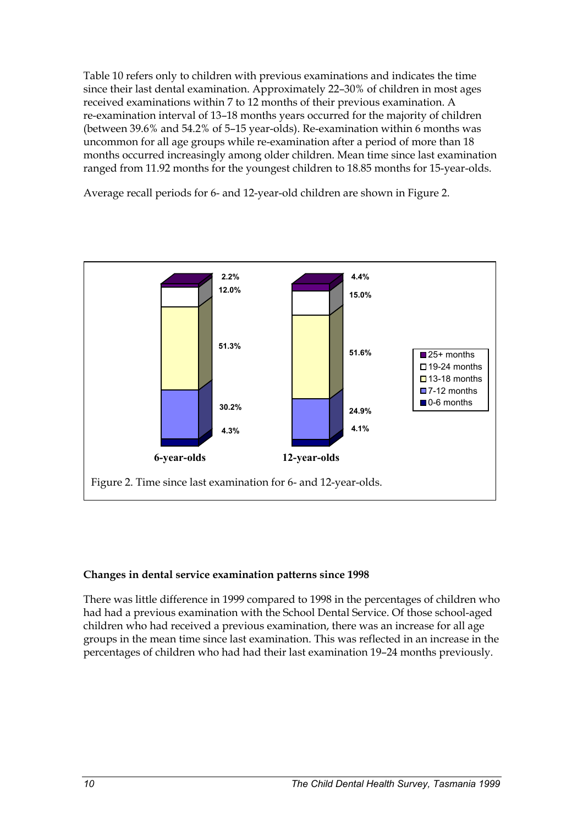Table 10 refers only to children with previous examinations and indicates the time since their last dental examination. Approximately 22–30% of children in most ages received examinations within 7 to 12 months of their previous examination. A re-examination interval of 13–18 months years occurred for the majority of children (between 39.6% and 54.2% of 5–15 year-olds). Re-examination within 6 months was uncommon for all age groups while re-examination after a period of more than 18 months occurred increasingly among older children. Mean time since last examination ranged from 11.92 months for the youngest children to 18.85 months for 15-year-olds.

Average recall periods for 6- and 12-year-old children are shown in Figure 2.



### **Changes in dental service examination patterns since 1998**

There was little difference in 1999 compared to 1998 in the percentages of children who had had a previous examination with the School Dental Service. Of those school-aged children who had received a previous examination, there was an increase for all age groups in the mean time since last examination. This was reflected in an increase in the percentages of children who had had their last examination 19–24 months previously.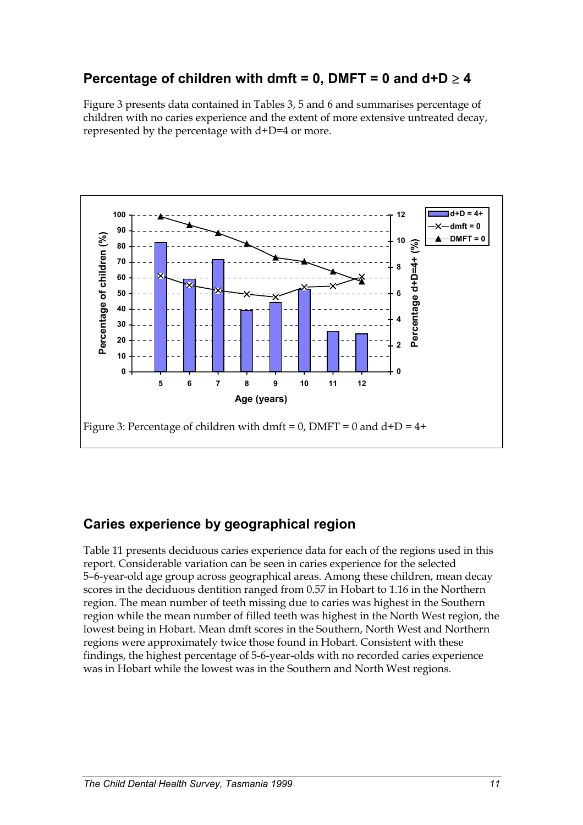## **Percentage of children with dmft = 0, DMFT = 0 and**  $d+D \ge 4$

Figure 3 presents data contained in Tables 3, 5 and 6 and summarises percentage of children with no caries experience and the extent of more extensive untreated decay, represented by the percentage with d+D=4 or more.



## **Caries experience by geographical region**

Table 11 presents deciduous caries experience data for each of the regions used in this report. Considerable variation can be seen in caries experience for the selected 5–6-year-old age group across geographical areas. Among these children, mean decay scores in the deciduous dentition ranged from 0.57 in Hobart to 1.16 in the Northern region. The mean number of teeth missing due to caries was highest in the Southern region while the mean number of filled teeth was highest in the North West region, the lowest being in Hobart. Mean dmft scores in the Southern, North West and Northern regions were approximately twice those found in Hobart. Consistent with these findings, the highest percentage of 5-6-year-olds with no recorded caries experience was in Hobart while the lowest was in the Southern and North West regions.